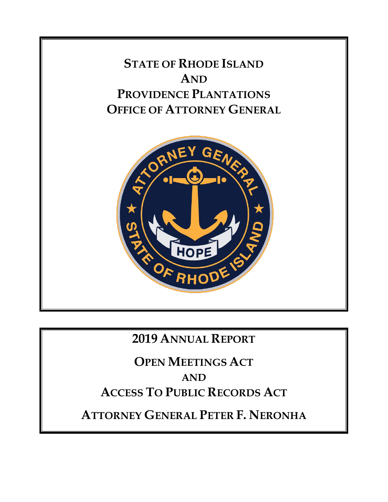

## **2019 ANNUAL REPORT**

**OPEN MEETINGS ACT AND ACCESS TO PUBLIC RECORDS ACT**

**ATTORNEY GENERAL PETER F. NERONHA**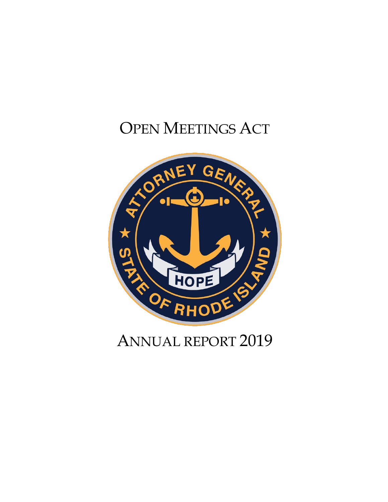# OPEN MEETINGS ACT



## ANNUAL REPORT 2019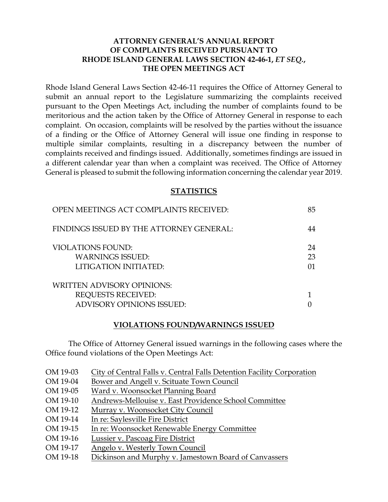## **ATTORNEY GENERAL'S ANNUAL REPORT OF COMPLAINTS RECEIVED PURSUANT TO RHODE ISLAND GENERAL LAWS SECTION 42-46-1,** *ET SEQ.***, THE OPEN MEETINGS ACT**

Rhode Island General Laws Section 42-46-11 requires the Office of Attorney General to submit an annual report to the Legislature summarizing the complaints received pursuant to the Open Meetings Act, including the number of complaints found to be meritorious and the action taken by the Office of Attorney General in response to each complaint. On occasion, complaints will be resolved by the parties without the issuance of a finding or the Office of Attorney General will issue one finding in response to multiple similar complaints, resulting in a discrepancy between the number of complaints received and findings issued. Additionally, sometimes findings are issued in a different calendar year than when a complaint was received. The Office of Attorney General is pleased to submit the following information concerning the calendar year 2019.

#### **STATISTICS**

| OPEN MEETINGS ACT COMPLAINTS RECEIVED:                                                             | 85             |
|----------------------------------------------------------------------------------------------------|----------------|
| FINDINGS ISSUED BY THE ATTORNEY GENERAL:                                                           | 44             |
| <b>VIOLATIONS FOUND:</b><br><b>WARNINGS ISSUED:</b><br>LITIGATION INITIATED:                       | 24<br>23<br>01 |
| <b>WRITTEN ADVISORY OPINIONS:</b><br><b>REQUESTS RECEIVED:</b><br><b>ADVISORY OPINIONS ISSUED:</b> |                |

#### **VIOLATIONS FOUND/WARNINGS ISSUED**

The Office of Attorney General issued warnings in the following cases where the Office found violations of the Open Meetings Act:

| OM 19-03 | City of Central Falls v. Central Falls Detention Facility Corporation |
|----------|-----------------------------------------------------------------------|
| OM 19-04 | Bower and Angell v. Scituate Town Council                             |
| OM 19-05 | Ward v. Woonsocket Planning Board                                     |
| OM 19-10 | Andrews-Mellouise v. East Providence School Committee                 |
| OM 19-12 | Murray v. Woonsocket City Council                                     |
| OM 19-14 | In re: Saylesville Fire District                                      |
| OM 19-15 | In re: Woonsocket Renewable Energy Committee                          |
| OM 19-16 | Lussier v. Pascoag Fire District                                      |
| OM 19-17 | Angelo v. Westerly Town Council                                       |
| OM 19-18 | Dickinson and Murphy v. Jamestown Board of Canvassers                 |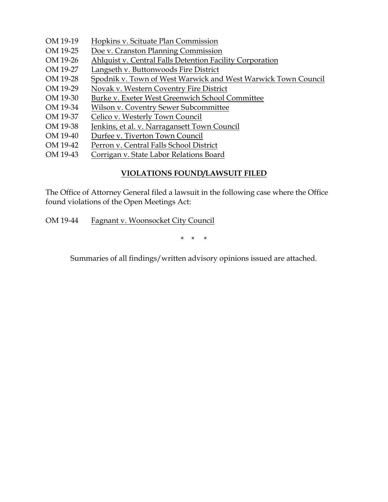- OM 19-19 Hopkins v. Scituate Plan Commission
- OM 19-25 Doe v. Cranston Planning Commission
- OM 19-26 Ahlquist v. Central Falls Detention Facility Corporation
- OM 19-27 Langseth v. Buttonwoods Fire District
- OM 19-28 Spodnik v. Town of West Warwick and West Warwick Town Council
- OM 19-29 Novak v. Western Coventry Fire District
- OM 19-30 Burke v. Exeter West Greenwich School Committee
- OM 19-34 Wilson v. Coventry Sewer Subcommittee
- OM 19-37 Celico v. Westerly Town Council
- OM 19-38 Jenkins, et al. v. Narragansett Town Council
- OM 19-40 Durfee v. Tiverton Town Council
- OM 19-42 Perron v. Central Falls School District
- OM 19-43 Corrigan v. State Labor Relations Board

## **VIOLATIONS FOUND/LAWSUIT FILED**

The Office of Attorney General filed a lawsuit in the following case where the Office found violations of the Open Meetings Act:

OM 19-44 Fagnant v. Woonsocket City Council

\* \* \*

Summaries of all findings/written advisory opinions issued are attached.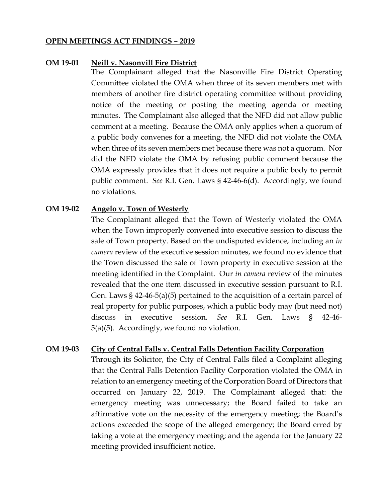#### **OPEN MEETINGS ACT FINDINGS – 2019**

#### **OM 19-01 Neill v. Nasonvill Fire District**

The Complainant alleged that the Nasonville Fire District Operating Committee violated the OMA when three of its seven members met with members of another fire district operating committee without providing notice of the meeting or posting the meeting agenda or meeting minutes. The Complainant also alleged that the NFD did not allow public comment at a meeting. Because the OMA only applies when a quorum of a public body convenes for a meeting, the NFD did not violate the OMA when three of its seven members met because there was not a quorum. Nor did the NFD violate the OMA by refusing public comment because the OMA expressly provides that it does not require a public body to permit public comment. *See* R.I. Gen. Laws § 42-46-6(d). Accordingly, we found no violations.

#### **OM 19-02 Angelo v. Town of Westerly**

The Complainant alleged that the Town of Westerly violated the OMA when the Town improperly convened into executive session to discuss the sale of Town property. Based on the undisputed evidence, including an *in camera* review of the executive session minutes, we found no evidence that the Town discussed the sale of Town property in executive session at the meeting identified in the Complaint. Our *in camera* review of the minutes revealed that the one item discussed in executive session pursuant to R.I. Gen. Laws § 42-46-5(a)(5) pertained to the acquisition of a certain parcel of real property for public purposes, which a public body may (but need not) discuss in executive session. *See* R.I. Gen. Laws § 42-46- 5(a)(5). Accordingly, we found no violation.

#### **OM 19-03 City of Central Falls v. Central Falls Detention Facility Corporation**

Through its Solicitor, the City of Central Falls filed a Complaint alleging that the Central Falls Detention Facility Corporation violated the OMA in relation to an emergency meeting of the Corporation Board of Directors that occurred on January 22, 2019. The Complainant alleged that: the emergency meeting was unnecessary; the Board failed to take an affirmative vote on the necessity of the emergency meeting; the Board's actions exceeded the scope of the alleged emergency; the Board erred by taking a vote at the emergency meeting; and the agenda for the January 22 meeting provided insufficient notice.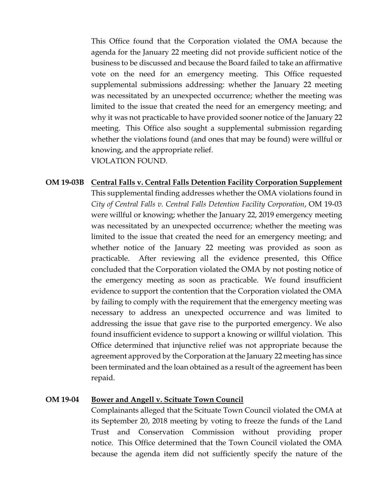This Office found that the Corporation violated the OMA because the agenda for the January 22 meeting did not provide sufficient notice of the business to be discussed and because the Board failed to take an affirmative vote on the need for an emergency meeting. This Office requested supplemental submissions addressing: whether the January 22 meeting was necessitated by an unexpected occurrence; whether the meeting was limited to the issue that created the need for an emergency meeting; and why it was not practicable to have provided sooner notice of the January 22 meeting. This Office also sought a supplemental submission regarding whether the violations found (and ones that may be found) were willful or knowing, and the appropriate relief. VIOLATION FOUND.

## **OM 19-03B Central Falls v. Central Falls Detention Facility Corporation Supplement**

This supplemental finding addresses whether the OMA violations found in *City of Central Falls v. Central Falls Detention Facility Corporation*, OM 19-03 were willful or knowing; whether the January 22, 2019 emergency meeting was necessitated by an unexpected occurrence; whether the meeting was limited to the issue that created the need for an emergency meeting; and whether notice of the January 22 meeting was provided as soon as practicable. After reviewing all the evidence presented, this Office concluded that the Corporation violated the OMA by not posting notice of the emergency meeting as soon as practicable. We found insufficient evidence to support the contention that the Corporation violated the OMA by failing to comply with the requirement that the emergency meeting was necessary to address an unexpected occurrence and was limited to addressing the issue that gave rise to the purported emergency. We also found insufficient evidence to support a knowing or willful violation. This Office determined that injunctive relief was not appropriate because the agreement approved by the Corporation at the January 22 meeting has since been terminated and the loan obtained as a result of the agreement has been repaid.

#### **OM 19-04 Bower and Angell v. Scituate Town Council**

Complainants alleged that the Scituate Town Council violated the OMA at its September 20, 2018 meeting by voting to freeze the funds of the Land Trust and Conservation Commission without providing proper notice. This Office determined that the Town Council violated the OMA because the agenda item did not sufficiently specify the nature of the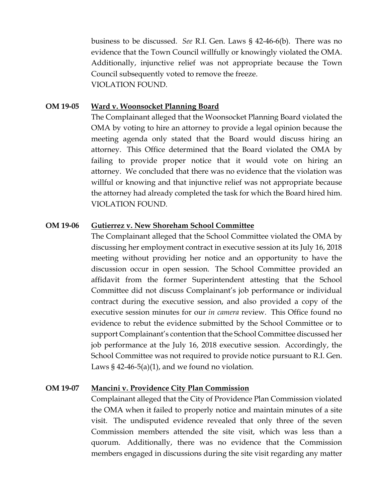business to be discussed. *See* R.I. Gen. Laws § 42-46-6(b). There was no evidence that the Town Council willfully or knowingly violated the OMA. Additionally, injunctive relief was not appropriate because the Town Council subsequently voted to remove the freeze. VIOLATION FOUND.

#### **OM 19-05 Ward v. Woonsocket Planning Board**

The Complainant alleged that the Woonsocket Planning Board violated the OMA by voting to hire an attorney to provide a legal opinion because the meeting agenda only stated that the Board would discuss hiring an attorney. This Office determined that the Board violated the OMA by failing to provide proper notice that it would vote on hiring an attorney. We concluded that there was no evidence that the violation was willful or knowing and that injunctive relief was not appropriate because the attorney had already completed the task for which the Board hired him. VIOLATION FOUND.

#### **OM 19-06 Gutierrez v. New Shoreham School Committee**

The Complainant alleged that the School Committee violated the OMA by discussing her employment contract in executive session at its July 16, 2018 meeting without providing her notice and an opportunity to have the discussion occur in open session. The School Committee provided an affidavit from the former Superintendent attesting that the School Committee did not discuss Complainant's job performance or individual contract during the executive session, and also provided a copy of the executive session minutes for our *in camera* review. This Office found no evidence to rebut the evidence submitted by the School Committee or to support Complainant's contention that the School Committee discussed her job performance at the July 16, 2018 executive session. Accordingly, the School Committee was not required to provide notice pursuant to R.I. Gen. Laws  $\S$  42-46-5(a)(1), and we found no violation.

#### **OM 19-07 Mancini v. Providence City Plan Commission**

Complainant alleged that the City of Providence Plan Commission violated the OMA when it failed to properly notice and maintain minutes of a site visit. The undisputed evidence revealed that only three of the seven Commission members attended the site visit, which was less than a quorum. Additionally, there was no evidence that the Commission members engaged in discussions during the site visit regarding any matter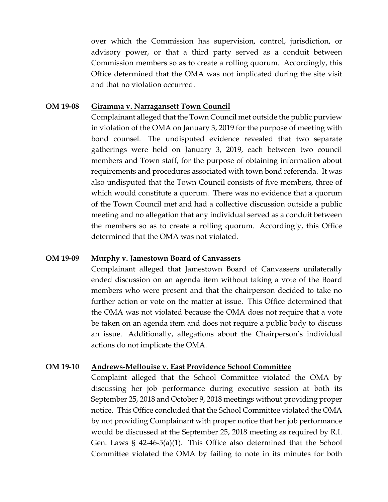over which the Commission has supervision, control, jurisdiction, or advisory power, or that a third party served as a conduit between Commission members so as to create a rolling quorum. Accordingly, this Office determined that the OMA was not implicated during the site visit and that no violation occurred.

#### **OM 19-08 Giramma v. Narragansett Town Council**

Complainant alleged that the Town Council met outside the public purview in violation of the OMA on January 3, 2019 for the purpose of meeting with bond counsel. The undisputed evidence revealed that two separate gatherings were held on January 3, 2019, each between two council members and Town staff, for the purpose of obtaining information about requirements and procedures associated with town bond referenda. It was also undisputed that the Town Council consists of five members, three of which would constitute a quorum. There was no evidence that a quorum of the Town Council met and had a collective discussion outside a public meeting and no allegation that any individual served as a conduit between the members so as to create a rolling quorum. Accordingly, this Office determined that the OMA was not violated.

#### **OM 19-09 Murphy v. Jamestown Board of Canvassers**

Complainant alleged that Jamestown Board of Canvassers unilaterally ended discussion on an agenda item without taking a vote of the Board members who were present and that the chairperson decided to take no further action or vote on the matter at issue. This Office determined that the OMA was not violated because the OMA does not require that a vote be taken on an agenda item and does not require a public body to discuss an issue. Additionally, allegations about the Chairperson's individual actions do not implicate the OMA.

#### **OM 19-10 Andrews-Mellouise v. East Providence School Committee**

Complaint alleged that the School Committee violated the OMA by discussing her job performance during executive session at both its September 25, 2018 and October 9, 2018 meetings without providing proper notice. This Office concluded that the School Committee violated the OMA by not providing Complainant with proper notice that her job performance would be discussed at the September 25, 2018 meeting as required by R.I. Gen. Laws § 42-46-5(a)(1). This Office also determined that the School Committee violated the OMA by failing to note in its minutes for both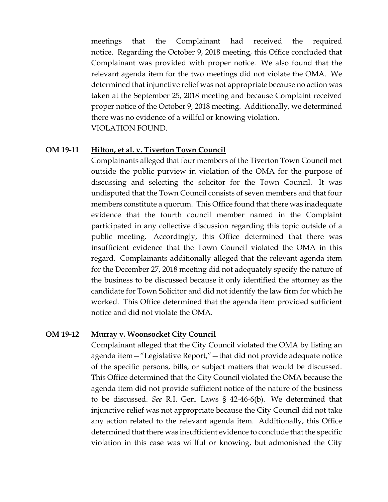meetings that the Complainant had received the required notice. Regarding the October 9, 2018 meeting, this Office concluded that Complainant was provided with proper notice. We also found that the relevant agenda item for the two meetings did not violate the OMA. We determined that injunctive relief was not appropriate because no action was taken at the September 25, 2018 meeting and because Complaint received proper notice of the October 9, 2018 meeting. Additionally, we determined there was no evidence of a willful or knowing violation. VIOLATION FOUND.

#### **OM 19-11 Hilton, et al. v. Tiverton Town Council**

Complainants alleged that four members of the Tiverton Town Council met outside the public purview in violation of the OMA for the purpose of discussing and selecting the solicitor for the Town Council. It was undisputed that the Town Council consists of seven members and that four members constitute a quorum. This Office found that there was inadequate evidence that the fourth council member named in the Complaint participated in any collective discussion regarding this topic outside of a public meeting. Accordingly, this Office determined that there was insufficient evidence that the Town Council violated the OMA in this regard. Complainants additionally alleged that the relevant agenda item for the December 27, 2018 meeting did not adequately specify the nature of the business to be discussed because it only identified the attorney as the candidate for Town Solicitor and did not identify the law firm for which he worked. This Office determined that the agenda item provided sufficient notice and did not violate the OMA.

#### **OM 19-12 Murray v. Woonsocket City Council**

Complainant alleged that the City Council violated the OMA by listing an agenda item—"Legislative Report,"—that did not provide adequate notice of the specific persons, bills, or subject matters that would be discussed. This Office determined that the City Council violated the OMA because the agenda item did not provide sufficient notice of the nature of the business to be discussed. *See* R.I. Gen. Laws § 42-46-6(b). We determined that injunctive relief was not appropriate because the City Council did not take any action related to the relevant agenda item. Additionally, this Office determined that there was insufficient evidence to conclude that the specific violation in this case was willful or knowing, but admonished the City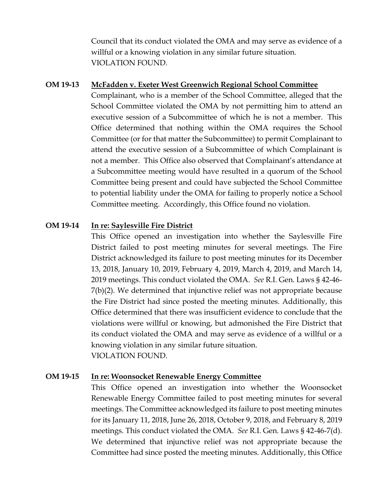Council that its conduct violated the OMA and may serve as evidence of a willful or a knowing violation in any similar future situation. VIOLATION FOUND.

#### **OM 19-13 McFadden v. Exeter West Greenwich Regional School Committee**

Complainant, who is a member of the School Committee, alleged that the School Committee violated the OMA by not permitting him to attend an executive session of a Subcommittee of which he is not a member. This Office determined that nothing within the OMA requires the School Committee (or for that matter the Subcommittee) to permit Complainant to attend the executive session of a Subcommittee of which Complainant is not a member. This Office also observed that Complainant's attendance at a Subcommittee meeting would have resulted in a quorum of the School Committee being present and could have subjected the School Committee to potential liability under the OMA for failing to properly notice a School Committee meeting. Accordingly, this Office found no violation.

## **OM 19-14 In re: Saylesville Fire District**

This Office opened an investigation into whether the Saylesville Fire District failed to post meeting minutes for several meetings. The Fire District acknowledged its failure to post meeting minutes for its December 13, 2018, January 10, 2019, February 4, 2019, March 4, 2019, and March 14, 2019 meetings. This conduct violated the OMA. *See* R.I. Gen. Laws § 42-46- 7(b)(2). We determined that injunctive relief was not appropriate because the Fire District had since posted the meeting minutes. Additionally, this Office determined that there was insufficient evidence to conclude that the violations were willful or knowing, but admonished the Fire District that its conduct violated the OMA and may serve as evidence of a willful or a knowing violation in any similar future situation. VIOLATION FOUND.

## **OM 19-15 In re: Woonsocket Renewable Energy Committee**

This Office opened an investigation into whether the Woonsocket Renewable Energy Committee failed to post meeting minutes for several meetings. The Committee acknowledged its failure to post meeting minutes for its January 11, 2018, June 26, 2018, October 9, 2018, and February 8, 2019 meetings. This conduct violated the OMA. *See* R.I. Gen. Laws § 42-46-7(d). We determined that injunctive relief was not appropriate because the Committee had since posted the meeting minutes. Additionally, this Office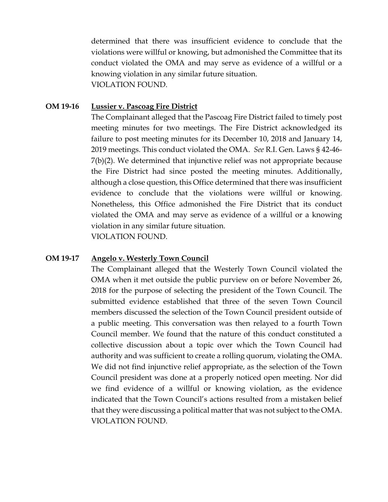determined that there was insufficient evidence to conclude that the violations were willful or knowing, but admonished the Committee that its conduct violated the OMA and may serve as evidence of a willful or a knowing violation in any similar future situation. VIOLATION FOUND.

## **OM 19-16 Lussier v. Pascoag Fire District**

The Complainant alleged that the Pascoag Fire District failed to timely post meeting minutes for two meetings. The Fire District acknowledged its failure to post meeting minutes for its December 10, 2018 and January 14, 2019 meetings. This conduct violated the OMA. *See* R.I. Gen. Laws § 42-46- 7(b)(2). We determined that injunctive relief was not appropriate because the Fire District had since posted the meeting minutes. Additionally, although a close question, this Office determined that there was insufficient evidence to conclude that the violations were willful or knowing. Nonetheless, this Office admonished the Fire District that its conduct violated the OMA and may serve as evidence of a willful or a knowing violation in any similar future situation. VIOLATION FOUND.

#### **OM 19-17 Angelo v. Westerly Town Council**

The Complainant alleged that the Westerly Town Council violated the OMA when it met outside the public purview on or before November 26, 2018 for the purpose of selecting the president of the Town Council. The submitted evidence established that three of the seven Town Council members discussed the selection of the Town Council president outside of a public meeting. This conversation was then relayed to a fourth Town Council member. We found that the nature of this conduct constituted a collective discussion about a topic over which the Town Council had authority and was sufficient to create a rolling quorum, violating the OMA. We did not find injunctive relief appropriate, as the selection of the Town Council president was done at a properly noticed open meeting. Nor did we find evidence of a willful or knowing violation, as the evidence indicated that the Town Council's actions resulted from a mistaken belief that they were discussing a political matter that was not subject to the OMA. VIOLATION FOUND.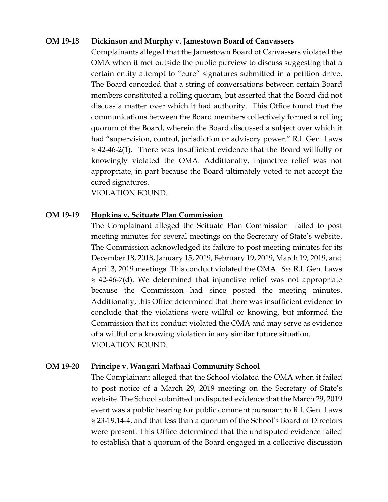#### **OM 19-18 Dickinson and Murphy v. Jamestown Board of Canvassers**

Complainants alleged that the Jamestown Board of Canvassers violated the OMA when it met outside the public purview to discuss suggesting that a certain entity attempt to "cure" signatures submitted in a petition drive. The Board conceded that a string of conversations between certain Board members constituted a rolling quorum, but asserted that the Board did not discuss a matter over which it had authority. This Office found that the communications between the Board members collectively formed a rolling quorum of the Board, wherein the Board discussed a subject over which it had "supervision, control, jurisdiction or advisory power." R.I. Gen. Laws § 42-46-2(1). There was insufficient evidence that the Board willfully or knowingly violated the OMA. Additionally, injunctive relief was not appropriate, in part because the Board ultimately voted to not accept the cured signatures.

VIOLATION FOUND.

#### **OM 19-19 Hopkins v. Scituate Plan Commission**

The Complainant alleged the Scituate Plan Commission failed to post meeting minutes for several meetings on the Secretary of State's website. The Commission acknowledged its failure to post meeting minutes for its December 18, 2018, January 15, 2019, February 19, 2019, March 19, 2019, and April 3, 2019 meetings. This conduct violated the OMA. *See* R.I. Gen. Laws § 42-46-7(d). We determined that injunctive relief was not appropriate because the Commission had since posted the meeting minutes. Additionally, this Office determined that there was insufficient evidence to conclude that the violations were willful or knowing, but informed the Commission that its conduct violated the OMA and may serve as evidence of a willful or a knowing violation in any similar future situation. VIOLATION FOUND.

## **OM 19-20 Principe v. Wangari Mathaai Community School**

The Complainant alleged that the School violated the OMA when it failed to post notice of a March 29, 2019 meeting on the Secretary of State's website. The School submitted undisputed evidence that the March 29, 2019 event was a public hearing for public comment pursuant to R.I. Gen. Laws § 23-19.14-4, and that less than a quorum of the School's Board of Directors were present. This Office determined that the undisputed evidence failed to establish that a quorum of the Board engaged in a collective discussion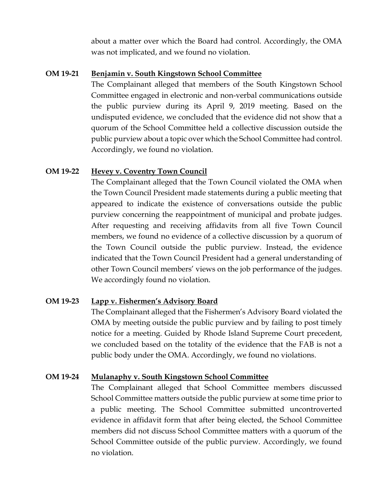about a matter over which the Board had control. Accordingly, the OMA was not implicated, and we found no violation.

## **OM 19-21 Benjamin v. South Kingstown School Committee**

The Complainant alleged that members of the South Kingstown School Committee engaged in electronic and non-verbal communications outside the public purview during its April 9, 2019 meeting. Based on the undisputed evidence, we concluded that the evidence did not show that a quorum of the School Committee held a collective discussion outside the public purview about a topic over which the School Committee had control. Accordingly, we found no violation.

## **OM 19-22 Hevey v. Coventry Town Council**

The Complainant alleged that the Town Council violated the OMA when the Town Council President made statements during a public meeting that appeared to indicate the existence of conversations outside the public purview concerning the reappointment of municipal and probate judges. After requesting and receiving affidavits from all five Town Council members, we found no evidence of a collective discussion by a quorum of the Town Council outside the public purview. Instead, the evidence indicated that the Town Council President had a general understanding of other Town Council members' views on the job performance of the judges. We accordingly found no violation.

## **OM 19-23 Lapp v. Fishermen's Advisory Board**

The Complainant alleged that the Fishermen's Advisory Board violated the OMA by meeting outside the public purview and by failing to post timely notice for a meeting. Guided by Rhode Island Supreme Court precedent, we concluded based on the totality of the evidence that the FAB is not a public body under the OMA. Accordingly, we found no violations.

## **OM 19-24 Mulanaphy v. South Kingstown School Committee**

The Complainant alleged that School Committee members discussed School Committee matters outside the public purview at some time prior to a public meeting. The School Committee submitted uncontroverted evidence in affidavit form that after being elected, the School Committee members did not discuss School Committee matters with a quorum of the School Committee outside of the public purview. Accordingly, we found no violation.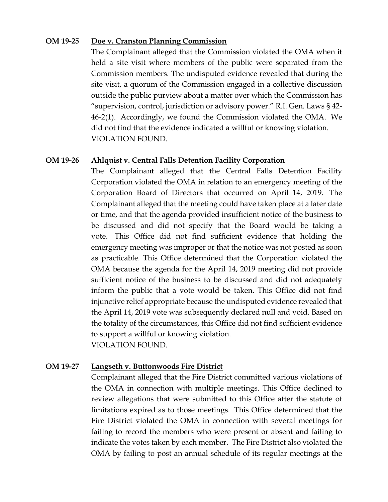#### **OM 19-25 Doe v. Cranston Planning Commission**

The Complainant alleged that the Commission violated the OMA when it held a site visit where members of the public were separated from the Commission members. The undisputed evidence revealed that during the site visit, a quorum of the Commission engaged in a collective discussion outside the public purview about a matter over which the Commission has "supervision, control, jurisdiction or advisory power." R.I. Gen. Laws § 42- 46-2(1). Accordingly, we found the Commission violated the OMA. We did not find that the evidence indicated a willful or knowing violation. VIOLATION FOUND.

#### **OM 19-26 Ahlquist v. Central Falls Detention Facility Corporation**

The Complainant alleged that the Central Falls Detention Facility Corporation violated the OMA in relation to an emergency meeting of the Corporation Board of Directors that occurred on April 14, 2019. The Complainant alleged that the meeting could have taken place at a later date or time, and that the agenda provided insufficient notice of the business to be discussed and did not specify that the Board would be taking a vote. This Office did not find sufficient evidence that holding the emergency meeting was improper or that the notice was not posted as soon as practicable. This Office determined that the Corporation violated the OMA because the agenda for the April 14, 2019 meeting did not provide sufficient notice of the business to be discussed and did not adequately inform the public that a vote would be taken. This Office did not find injunctive relief appropriate because the undisputed evidence revealed that the April 14, 2019 vote was subsequently declared null and void. Based on the totality of the circumstances, this Office did not find sufficient evidence to support a willful or knowing violation. VIOLATION FOUND.

## **OM 19-27 Langseth v. Buttonwoods Fire District**

Complainant alleged that the Fire District committed various violations of the OMA in connection with multiple meetings. This Office declined to review allegations that were submitted to this Office after the statute of limitations expired as to those meetings. This Office determined that the Fire District violated the OMA in connection with several meetings for failing to record the members who were present or absent and failing to indicate the votes taken by each member. The Fire District also violated the OMA by failing to post an annual schedule of its regular meetings at the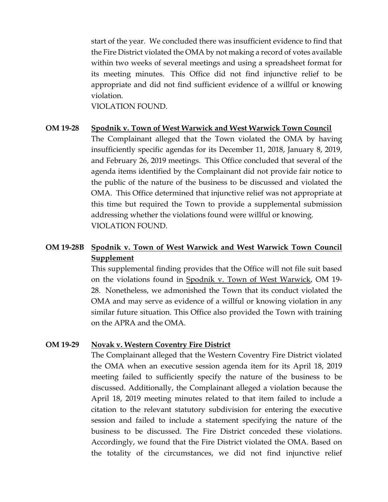start of the year. We concluded there was insufficient evidence to find that the Fire District violated the OMA by not making a record of votes available within two weeks of several meetings and using a spreadsheet format for its meeting minutes. This Office did not find injunctive relief to be appropriate and did not find sufficient evidence of a willful or knowing violation.

VIOLATION FOUND.

#### **OM 19-28 Spodnik v. Town of West Warwick and West Warwick Town Council**

The Complainant alleged that the Town violated the OMA by having insufficiently specific agendas for its December 11, 2018, January 8, 2019, and February 26, 2019 meetings. This Office concluded that several of the agenda items identified by the Complainant did not provide fair notice to the public of the nature of the business to be discussed and violated the OMA. This Office determined that injunctive relief was not appropriate at this time but required the Town to provide a supplemental submission addressing whether the violations found were willful or knowing. VIOLATION FOUND.

## **OM 19-28B Spodnik v. Town of West Warwick and West Warwick Town Council Supplement**

This supplemental finding provides that the Office will not file suit based on the violations found in Spodnik v. Town of West Warwick, OM 19- 28. Nonetheless, we admonished the Town that its conduct violated the OMA and may serve as evidence of a willful or knowing violation in any similar future situation. This Office also provided the Town with training on the APRA and the OMA.

#### **OM 19-29 Novak v. Western Coventry Fire District**

The Complainant alleged that the Western Coventry Fire District violated the OMA when an executive session agenda item for its April 18, 2019 meeting failed to sufficiently specify the nature of the business to be discussed. Additionally, the Complainant alleged a violation because the April 18, 2019 meeting minutes related to that item failed to include a citation to the relevant statutory subdivision for entering the executive session and failed to include a statement specifying the nature of the business to be discussed. The Fire District conceded these violations. Accordingly, we found that the Fire District violated the OMA. Based on the totality of the circumstances, we did not find injunctive relief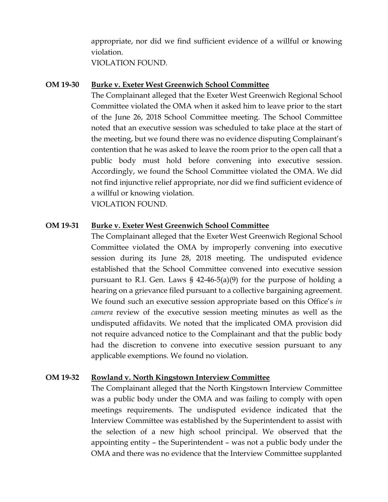appropriate, nor did we find sufficient evidence of a willful or knowing violation. VIOLATION FOUND.

**OM 19-30 Burke v. Exeter West Greenwich School Committee**

The Complainant alleged that the Exeter West Greenwich Regional School Committee violated the OMA when it asked him to leave prior to the start of the June 26, 2018 School Committee meeting. The School Committee noted that an executive session was scheduled to take place at the start of the meeting, but we found there was no evidence disputing Complainant's contention that he was asked to leave the room prior to the open call that a public body must hold before convening into executive session. Accordingly, we found the School Committee violated the OMA. We did not find injunctive relief appropriate, nor did we find sufficient evidence of a willful or knowing violation. VIOLATION FOUND.

## **OM 19-31 Burke v. Exeter West Greenwich School Committee**

The Complainant alleged that the Exeter West Greenwich Regional School Committee violated the OMA by improperly convening into executive session during its June 28, 2018 meeting. The undisputed evidence established that the School Committee convened into executive session pursuant to R.I. Gen. Laws § 42-46-5(a)(9) for the purpose of holding a hearing on a grievance filed pursuant to a collective bargaining agreement. We found such an executive session appropriate based on this Office's *in camera* review of the executive session meeting minutes as well as the undisputed affidavits. We noted that the implicated OMA provision did not require advanced notice to the Complainant and that the public body had the discretion to convene into executive session pursuant to any applicable exemptions. We found no violation.

## **OM 19-32 Rowland v. North Kingstown Interview Committee**

The Complainant alleged that the North Kingstown Interview Committee was a public body under the OMA and was failing to comply with open meetings requirements. The undisputed evidence indicated that the Interview Committee was established by the Superintendent to assist with the selection of a new high school principal. We observed that the appointing entity – the Superintendent – was not a public body under the OMA and there was no evidence that the Interview Committee supplanted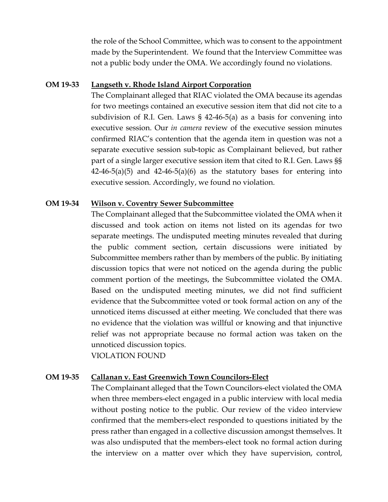the role of the School Committee, which was to consent to the appointment made by the Superintendent. We found that the Interview Committee was not a public body under the OMA. We accordingly found no violations.

#### **OM 19-33 Langseth v. Rhode Island Airport Corporation**

The Complainant alleged that RIAC violated the OMA because its agendas for two meetings contained an executive session item that did not cite to a subdivision of R.I. Gen. Laws § 42-46-5(a) as a basis for convening into executive session. Our *in camera* review of the executive session minutes confirmed RIAC's contention that the agenda item in question was not a separate executive session sub-topic as Complainant believed, but rather part of a single larger executive session item that cited to R.I. Gen. Laws §§  $42-46-5(a)(5)$  and  $42-46-5(a)(6)$  as the statutory bases for entering into executive session. Accordingly, we found no violation.

#### **OM 19-34 Wilson v. Coventry Sewer Subcommittee**

The Complainant alleged that the Subcommittee violated the OMA when it discussed and took action on items not listed on its agendas for two separate meetings. The undisputed meeting minutes revealed that during the public comment section, certain discussions were initiated by Subcommittee members rather than by members of the public. By initiating discussion topics that were not noticed on the agenda during the public comment portion of the meetings, the Subcommittee violated the OMA. Based on the undisputed meeting minutes, we did not find sufficient evidence that the Subcommittee voted or took formal action on any of the unnoticed items discussed at either meeting. We concluded that there was no evidence that the violation was willful or knowing and that injunctive relief was not appropriate because no formal action was taken on the unnoticed discussion topics.

VIOLATION FOUND

#### **OM 19-35 Callanan v. East Greenwich Town Councilors-Elect**

The Complainant alleged that the Town Councilors-elect violated the OMA when three members-elect engaged in a public interview with local media without posting notice to the public. Our review of the video interview confirmed that the members-elect responded to questions initiated by the press rather than engaged in a collective discussion amongst themselves. It was also undisputed that the members-elect took no formal action during the interview on a matter over which they have supervision, control,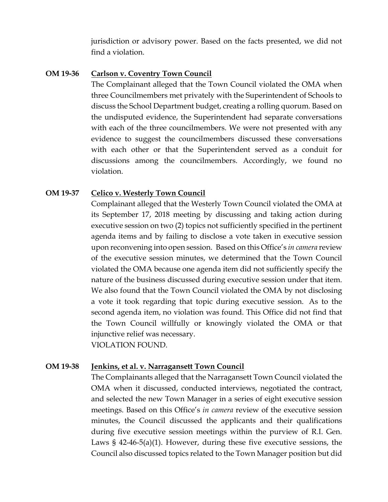jurisdiction or advisory power. Based on the facts presented, we did not find a violation.

#### **OM 19-36 Carlson v. Coventry Town Council**

The Complainant alleged that the Town Council violated the OMA when three Councilmembers met privately with the Superintendent of Schools to discuss the School Department budget, creating a rolling quorum. Based on the undisputed evidence, the Superintendent had separate conversations with each of the three councilmembers. We were not presented with any evidence to suggest the councilmembers discussed these conversations with each other or that the Superintendent served as a conduit for discussions among the councilmembers. Accordingly, we found no violation.

## **OM 19-37 Celico v. Westerly Town Council**

Complainant alleged that the Westerly Town Council violated the OMA at its September 17, 2018 meeting by discussing and taking action during executive session on two (2) topics not sufficiently specified in the pertinent agenda items and by failing to disclose a vote taken in executive session upon reconvening into open session. Based on this Office's *in camera* review of the executive session minutes, we determined that the Town Council violated the OMA because one agenda item did not sufficiently specify the nature of the business discussed during executive session under that item. We also found that the Town Council violated the OMA by not disclosing a vote it took regarding that topic during executive session. As to the second agenda item, no violation was found. This Office did not find that the Town Council willfully or knowingly violated the OMA or that injunctive relief was necessary. VIOLATION FOUND.

## **OM 19-38 Jenkins, et al. v. Narragansett Town Council**

The Complainants alleged that the Narragansett Town Council violated the OMA when it discussed, conducted interviews, negotiated the contract, and selected the new Town Manager in a series of eight executive session meetings. Based on this Office's *in camera* review of the executive session minutes, the Council discussed the applicants and their qualifications during five executive session meetings within the purview of R.I. Gen. Laws § 42-46-5(a)(1). However, during these five executive sessions, the Council also discussed topics related to the Town Manager position but did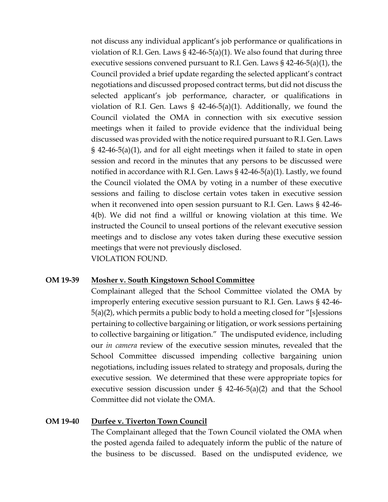not discuss any individual applicant's job performance or qualifications in violation of R.I. Gen. Laws  $\S$  42-46-5(a)(1). We also found that during three executive sessions convened pursuant to R.I. Gen. Laws  $\S$  42-46-5(a)(1), the Council provided a brief update regarding the selected applicant's contract negotiations and discussed proposed contract terms, but did not discuss the selected applicant's job performance, character, or qualifications in violation of R.I. Gen. Laws  $\S$  42-46-5(a)(1). Additionally, we found the Council violated the OMA in connection with six executive session meetings when it failed to provide evidence that the individual being discussed was provided with the notice required pursuant to R.I. Gen. Laws § 42-46-5(a)(1), and for all eight meetings when it failed to state in open session and record in the minutes that any persons to be discussed were notified in accordance with R.I. Gen. Laws § 42-46-5(a)(1). Lastly, we found the Council violated the OMA by voting in a number of these executive sessions and failing to disclose certain votes taken in executive session when it reconvened into open session pursuant to R.I. Gen. Laws § 42-46- 4(b). We did not find a willful or knowing violation at this time. We instructed the Council to unseal portions of the relevant executive session meetings and to disclose any votes taken during these executive session meetings that were not previously disclosed. VIOLATION FOUND.

## **OM 19-39 Mosher v. South Kingstown School Committee**

Complainant alleged that the School Committee violated the OMA by improperly entering executive session pursuant to R.I. Gen. Laws § 42-46- 5(a)(2), which permits a public body to hold a meeting closed for "[s]essions pertaining to collective bargaining or litigation, or work sessions pertaining to collective bargaining or litigation." The undisputed evidence, including our *in camera* review of the executive session minutes, revealed that the School Committee discussed impending collective bargaining union negotiations, including issues related to strategy and proposals, during the executive session. We determined that these were appropriate topics for executive session discussion under  $\S$  42-46-5(a)(2) and that the School Committee did not violate the OMA.

#### **OM 19-40 Durfee v. Tiverton Town Council**

The Complainant alleged that the Town Council violated the OMA when the posted agenda failed to adequately inform the public of the nature of the business to be discussed. Based on the undisputed evidence, we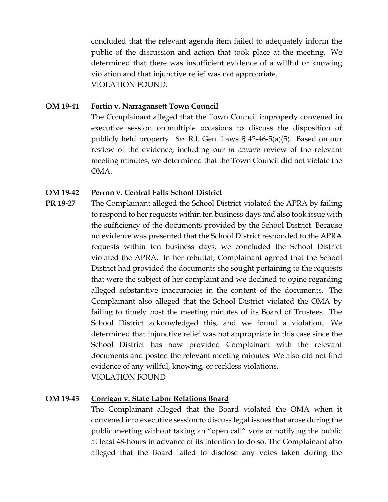concluded that the relevant agenda item failed to adequately inform the public of the discussion and action that took place at the meeting. We determined that there was insufficient evidence of a willful or knowing violation and that injunctive relief was not appropriate. VIOLATION FOUND.

## **OM 19-41 Fortin v. Narragansett Town Council**

The Complainant alleged that the Town Council improperly convened in executive session on multiple occasions to discuss the disposition of publicly held property. *See* R.I. Gen. Laws § 42-46-5(a)(5). Based on our review of the evidence, including our *in camera* review of the relevant meeting minutes, we determined that the Town Council did not violate the OMA.

## **OM 19-42 Perron v. Central Falls School District**

**PR 19-27** The Complainant alleged the School District violated the APRA by failing to respond to her requests within ten business days and also took issue with the sufficiency of the documents provided by the School District. Because no evidence was presented that the School District responded to the APRA requests within ten business days, we concluded the School District violated the APRA. In her rebuttal, Complainant agreed that the School District had provided the documents she sought pertaining to the requests that were the subject of her complaint and we declined to opine regarding alleged substantive inaccuracies in the content of the documents. The Complainant also alleged that the School District violated the OMA by failing to timely post the meeting minutes of its Board of Trustees. The School District acknowledged this, and we found a violation. We determined that injunctive relief was not appropriate in this case since the School District has now provided Complainant with the relevant documents and posted the relevant meeting minutes. We also did not find evidence of any willful, knowing, or reckless violations. VIOLATION FOUND

## **OM 19-43 Corrigan v. State Labor Relations Board**

The Complainant alleged that the Board violated the OMA when it convened into executive session to discuss legal issues that arose during the public meeting without taking an "open call" vote or notifying the public at least 48-hours in advance of its intention to do so. The Complainant also alleged that the Board failed to disclose any votes taken during the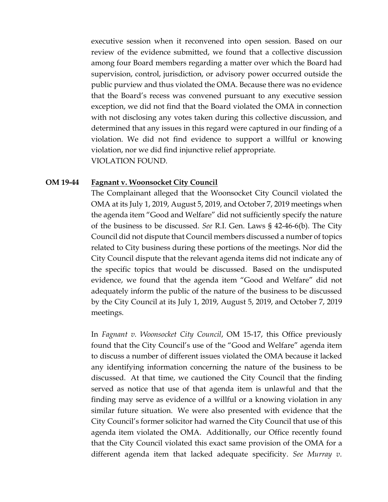executive session when it reconvened into open session. Based on our review of the evidence submitted, we found that a collective discussion among four Board members regarding a matter over which the Board had supervision, control, jurisdiction, or advisory power occurred outside the public purview and thus violated the OMA. Because there was no evidence that the Board's recess was convened pursuant to any executive session exception, we did not find that the Board violated the OMA in connection with not disclosing any votes taken during this collective discussion, and determined that any issues in this regard were captured in our finding of a violation. We did not find evidence to support a willful or knowing violation, nor we did find injunctive relief appropriate. VIOLATION FOUND.

#### **OM 19-44 Fagnant v. Woonsocket City Council**

The Complainant alleged that the Woonsocket City Council violated the OMA at its July 1, 2019, August 5, 2019, and October 7, 2019 meetings when the agenda item "Good and Welfare" did not sufficiently specify the nature of the business to be discussed. *See* R.I. Gen. Laws § 42-46-6(b). The City Council did not dispute that Council members discussed a number of topics related to City business during these portions of the meetings. Nor did the City Council dispute that the relevant agenda items did not indicate any of the specific topics that would be discussed. Based on the undisputed evidence, we found that the agenda item "Good and Welfare" did not adequately inform the public of the nature of the business to be discussed by the City Council at its July 1, 2019, August 5, 2019, and October 7, 2019 meetings.

In *Fagnant v. Woonsocket City Council*, OM 15-17, this Office previously found that the City Council's use of the "Good and Welfare" agenda item to discuss a number of different issues violated the OMA because it lacked any identifying information concerning the nature of the business to be discussed. At that time, we cautioned the City Council that the finding served as notice that use of that agenda item is unlawful and that the finding may serve as evidence of a willful or a knowing violation in any similar future situation. We were also presented with evidence that the City Council's former solicitor had warned the City Council that use of this agenda item violated the OMA. Additionally, our Office recently found that the City Council violated this exact same provision of the OMA for a different agenda item that lacked adequate specificity. *See Murray v.*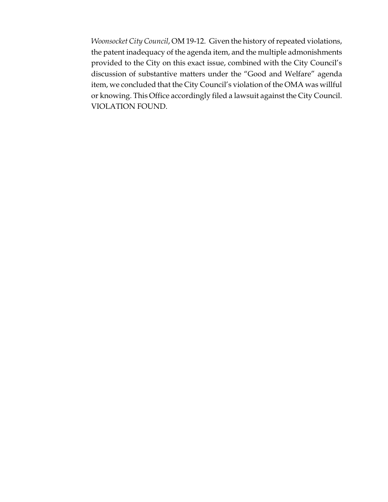*Woonsocket City Council*, OM 19-12. Given the history of repeated violations, the patent inadequacy of the agenda item, and the multiple admonishments provided to the City on this exact issue, combined with the City Council's discussion of substantive matters under the "Good and Welfare" agenda item, we concluded that the City Council's violation of the OMA was willful or knowing. This Office accordingly filed a lawsuit against the City Council. VIOLATION FOUND.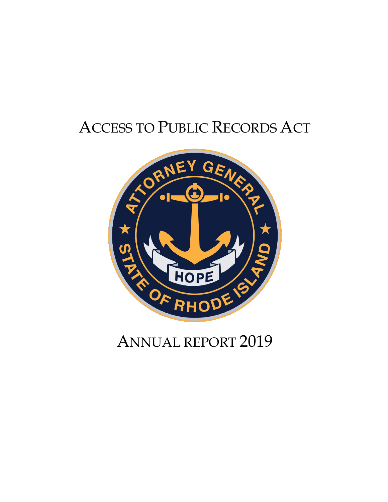# ACCESS TO PUBLIC RECORDS ACT



## ANNUAL REPORT 2019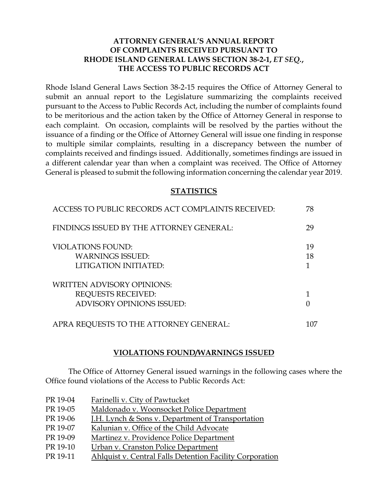## **ATTORNEY GENERAL'S ANNUAL REPORT OF COMPLAINTS RECEIVED PURSUANT TO RHODE ISLAND GENERAL LAWS SECTION 38-2-1,** *ET SEQ.***, THE ACCESS TO PUBLIC RECORDS ACT**

Rhode Island General Laws Section 38-2-15 requires the Office of Attorney General to submit an annual report to the Legislature summarizing the complaints received pursuant to the Access to Public Records Act, including the number of complaints found to be meritorious and the action taken by the Office of Attorney General in response to each complaint. On occasion, complaints will be resolved by the parties without the issuance of a finding or the Office of Attorney General will issue one finding in response to multiple similar complaints, resulting in a discrepancy between the number of complaints received and findings issued. Additionally, sometimes findings are issued in a different calendar year than when a complaint was received. The Office of Attorney General is pleased to submit the following information concerning the calendar year 2019.

#### **STATISTICS**

| ACCESS TO PUBLIC RECORDS ACT COMPLAINTS RECEIVED:                                           | 78       |
|---------------------------------------------------------------------------------------------|----------|
| FINDINGS ISSUED BY THE ATTORNEY GENERAL:                                                    | 29       |
| <b>VIOLATIONS FOUND:</b><br><b>WARNINGS ISSUED:</b><br>LITIGATION INITIATED:                | 19<br>18 |
| <b>WRITTEN ADVISORY OPINIONS:</b><br><b>REQUESTS RECEIVED:</b><br>ADVISORY OPINIONS ISSUED: |          |
| APRA REQUESTS TO THE ATTORNEY GENERAL:                                                      | 107      |

#### **VIOLATIONS FOUND/WARNINGS ISSUED**

The Office of Attorney General issued warnings in the following cases where the Office found violations of the Access to Public Records Act:

| PR 19-04 | Farinelli v. City of Pawtucket                               |
|----------|--------------------------------------------------------------|
| PR 19-05 | Maldonado v. Woonsocket Police Department                    |
| PR 19-06 | <b>J.H. Lynch &amp; Sons v. Department of Transportation</b> |
| PR 19-07 | Kalunian v. Office of the Child Advocate                     |
| PR 19-09 | Martinez v. Providence Police Department                     |
| PR 19-10 | Urban v. Cranston Police Department                          |
| PR 19-11 | Ahlquist v. Central Falls Detention Facility Corporation     |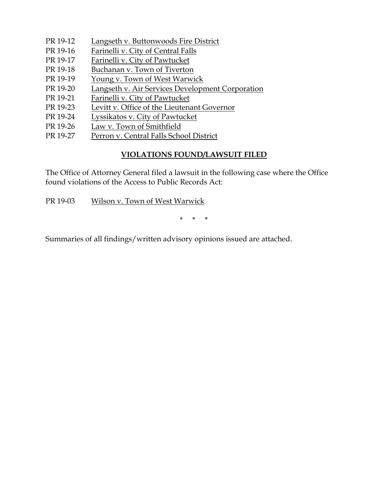- PR 19-12 Langseth v. Buttonwoods Fire District
- PR 19-16 Farinelli v. City of Central Falls
- PR 19-17 Farinelli v. City of Pawtucket
- PR 19-18 Buchanan v. Town of Tiverton
- PR 19-19 Young v. Town of West Warwick
- PR 19-20 Langseth v. Air Services Development Corporation
- PR 19-21 Farinelli v. City of Pawtucket
- PR 19-23 Levitt v. Office of the Lieutenant Governor
- PR 19-24 Lyssikatos v. City of Pawtucket
- PR 19-26 Law v. Town of Smithfield
- PR 19-27 Perron v. Central Falls School District

## **VIOLATIONS FOUND/LAWSUIT FILED**

The Office of Attorney General filed a lawsuit in the following case where the Office found violations of the Access to Public Records Act:

PR 19-03 Wilson v. Town of West Warwick

\* \* \*

Summaries of all findings/written advisory opinions issued are attached.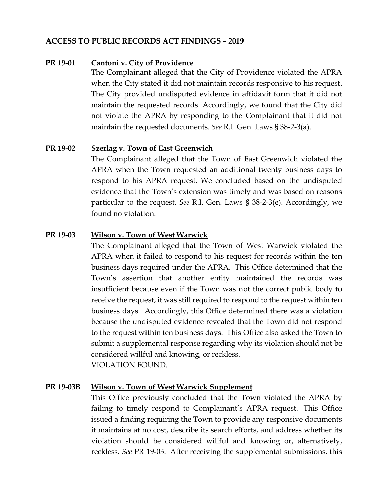#### **ACCESS TO PUBLIC RECORDS ACT FINDINGS – 2019**

#### **PR 19-01 Cantoni v. City of Providence**

The Complainant alleged that the City of Providence violated the APRA when the City stated it did not maintain records responsive to his request. The City provided undisputed evidence in affidavit form that it did not maintain the requested records. Accordingly, we found that the City did not violate the APRA by responding to the Complainant that it did not maintain the requested documents. *See* R.I. Gen. Laws § 38-2-3(a).

## **PR 19-02 Szerlag v. Town of East Greenwich**

The Complainant alleged that the Town of East Greenwich violated the APRA when the Town requested an additional twenty business days to respond to his APRA request. We concluded based on the undisputed evidence that the Town's extension was timely and was based on reasons particular to the request. *See* R.I. Gen. Laws § 38-2-3(e). Accordingly, we found no violation.

## **PR 19-03 Wilson v. Town of West Warwick**

The Complainant alleged that the Town of West Warwick violated the APRA when it failed to respond to his request for records within the ten business days required under the APRA. This Office determined that the Town's assertion that another entity maintained the records was insufficient because even if the Town was not the correct public body to receive the request, it was still required to respond to the request within ten business days. Accordingly, this Office determined there was a violation because the undisputed evidence revealed that the Town did not respond to the request within ten business days. This Office also asked the Town to submit a supplemental response regarding why its violation should not be considered willful and knowing, or reckless. VIOLATION FOUND.

#### **PR 19-03B Wilson v. Town of West Warwick Supplement**

This Office previously concluded that the Town violated the APRA by failing to timely respond to Complainant's APRA request. This Office issued a finding requiring the Town to provide any responsive documents it maintains at no cost, describe its search efforts, and address whether its violation should be considered willful and knowing or, alternatively, reckless. *See* PR 19-03. After receiving the supplemental submissions, this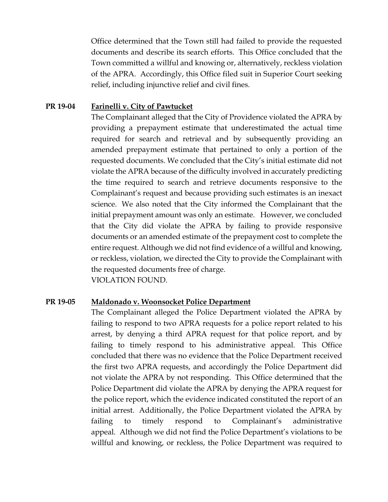Office determined that the Town still had failed to provide the requested documents and describe its search efforts. This Office concluded that the Town committed a willful and knowing or, alternatively, reckless violation of the APRA. Accordingly, this Office filed suit in Superior Court seeking relief, including injunctive relief and civil fines.

## **PR 19-04 Farinelli v. City of Pawtucket**

The Complainant alleged that the City of Providence violated the APRA by providing a prepayment estimate that underestimated the actual time required for search and retrieval and by subsequently providing an amended prepayment estimate that pertained to only a portion of the requested documents. We concluded that the City's initial estimate did not violate the APRA because of the difficulty involved in accurately predicting the time required to search and retrieve documents responsive to the Complainant's request and because providing such estimates is an inexact science. We also noted that the City informed the Complainant that the initial prepayment amount was only an estimate. However, we concluded that the City did violate the APRA by failing to provide responsive documents or an amended estimate of the prepayment cost to complete the entire request. Although we did not find evidence of a willful and knowing, or reckless, violation, we directed the City to provide the Complainant with the requested documents free of charge. VIOLATION FOUND.

## **PR 19-05 Maldonado v. Woonsocket Police Department**

The Complainant alleged the Police Department violated the APRA by failing to respond to two APRA requests for a police report related to his arrest, by denying a third APRA request for that police report, and by failing to timely respond to his administrative appeal. This Office concluded that there was no evidence that the Police Department received the first two APRA requests, and accordingly the Police Department did not violate the APRA by not responding. This Office determined that the Police Department did violate the APRA by denying the APRA request for the police report, which the evidence indicated constituted the report of an initial arrest. Additionally, the Police Department violated the APRA by failing to timely respond to Complainant's administrative appeal. Although we did not find the Police Department's violations to be willful and knowing, or reckless, the Police Department was required to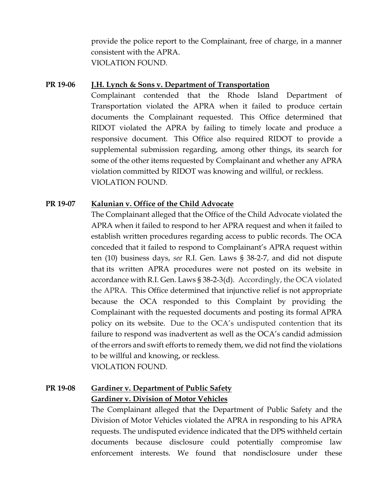provide the police report to the Complainant, free of charge, in a manner consistent with the APRA. VIOLATION FOUND.

#### **PR 19-06 J.H. Lynch & Sons v. Department of Transportation**

Complainant contended that the Rhode Island Department of Transportation violated the APRA when it failed to produce certain documents the Complainant requested. This Office determined that RIDOT violated the APRA by failing to timely locate and produce a responsive document. This Office also required RIDOT to provide a supplemental submission regarding, among other things, its search for some of the other items requested by Complainant and whether any APRA violation committed by RIDOT was knowing and willful, or reckless. VIOLATION FOUND.

## **PR 19-07 Kalunian v. Office of the Child Advocate**

The Complainant alleged that the Office of the Child Advocate violated the APRA when it failed to respond to her APRA request and when it failed to establish written procedures regarding access to public records. The OCA conceded that it failed to respond to Complainant's APRA request within ten (10) business days, *see* R.I. Gen. Laws § 38-2-7, and did not dispute that its written APRA procedures were not posted on its website in accordance with R.I. Gen. Laws § 38-2-3(d). Accordingly, the OCA violated the APRA. This Office determined that injunctive relief is not appropriate because the OCA responded to this Complaint by providing the Complainant with the requested documents and posting its formal APRA policy on its website. Due to the OCA's undisputed contention that its failure to respond was inadvertent as well as the OCA's candid admission of the errors and swift efforts to remedy them, we did not find the violations to be willful and knowing, or reckless. VIOLATION FOUND.

## **PR 19-08 Gardiner v. Department of Public Safety Gardiner v. Division of Motor Vehicles**

The Complainant alleged that the Department of Public Safety and the Division of Motor Vehicles violated the APRA in responding to his APRA requests. The undisputed evidence indicated that the DPS withheld certain documents because disclosure could potentially compromise law enforcement interests. We found that nondisclosure under these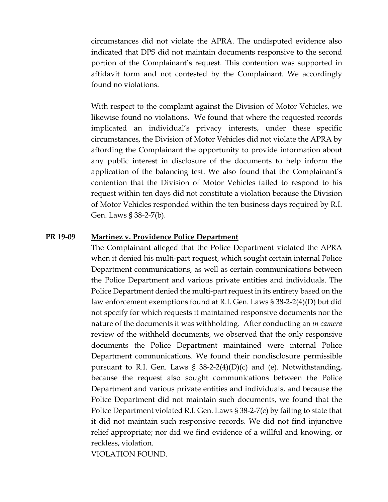circumstances did not violate the APRA. The undisputed evidence also indicated that DPS did not maintain documents responsive to the second portion of the Complainant's request. This contention was supported in affidavit form and not contested by the Complainant. We accordingly found no violations.

With respect to the complaint against the Division of Motor Vehicles, we likewise found no violations. We found that where the requested records implicated an individual's privacy interests, under these specific circumstances, the Division of Motor Vehicles did not violate the APRA by affording the Complainant the opportunity to provide information about any public interest in disclosure of the documents to help inform the application of the balancing test. We also found that the Complainant's contention that the Division of Motor Vehicles failed to respond to his request within ten days did not constitute a violation because the Division of Motor Vehicles responded within the ten business days required by R.I. Gen. Laws § 38-2-7(b).

#### **PR 19-09 Martinez v. Providence Police Department**

The Complainant alleged that the Police Department violated the APRA when it denied his multi-part request, which sought certain internal Police Department communications, as well as certain communications between the Police Department and various private entities and individuals. The Police Department denied the multi-part request in its entirety based on the law enforcement exemptions found at R.I. Gen. Laws § 38-2-2(4)(D) but did not specify for which requests it maintained responsive documents nor the nature of the documents it was withholding. After conducting an *in camera* review of the withheld documents, we observed that the only responsive documents the Police Department maintained were internal Police Department communications. We found their nondisclosure permissible pursuant to R.I. Gen. Laws  $\S$  38-2-2(4)(D)(c) and (e). Notwithstanding, because the request also sought communications between the Police Department and various private entities and individuals, and because the Police Department did not maintain such documents, we found that the Police Department violated R.I. Gen. Laws § 38-2-7(c) by failing to state that it did not maintain such responsive records. We did not find injunctive relief appropriate; nor did we find evidence of a willful and knowing, or reckless, violation.

VIOLATION FOUND.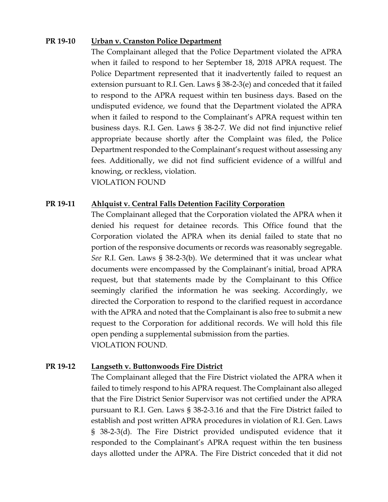#### **PR 19-10 Urban v. Cranston Police Department**

The Complainant alleged that the Police Department violated the APRA when it failed to respond to her September 18, 2018 APRA request. The Police Department represented that it inadvertently failed to request an extension pursuant to R.I. Gen. Laws § 38-2-3(e) and conceded that it failed to respond to the APRA request within ten business days. Based on the undisputed evidence, we found that the Department violated the APRA when it failed to respond to the Complainant's APRA request within ten business days. R.I. Gen. Laws § 38-2-7. We did not find injunctive relief appropriate because shortly after the Complaint was filed, the Police Department responded to the Complainant's request without assessing any fees. Additionally, we did not find sufficient evidence of a willful and knowing, or reckless, violation. VIOLATION FOUND

## **PR 19-11 Ahlquist v. Central Falls Detention Facility Corporation**

The Complainant alleged that the Corporation violated the APRA when it denied his request for detainee records. This Office found that the Corporation violated the APRA when its denial failed to state that no portion of the responsive documents or records was reasonably segregable. *See* R.I. Gen. Laws § 38-2-3(b). We determined that it was unclear what documents were encompassed by the Complainant's initial, broad APRA request, but that statements made by the Complainant to this Office seemingly clarified the information he was seeking. Accordingly, we directed the Corporation to respond to the clarified request in accordance with the APRA and noted that the Complainant is also free to submit a new request to the Corporation for additional records. We will hold this file open pending a supplemental submission from the parties. VIOLATION FOUND.

## **PR 19-12 Langseth v. Buttonwoods Fire District**

The Complainant alleged that the Fire District violated the APRA when it failed to timely respond to his APRA request. The Complainant also alleged that the Fire District Senior Supervisor was not certified under the APRA pursuant to R.I. Gen. Laws § 38-2-3.16 and that the Fire District failed to establish and post written APRA procedures in violation of R.I. Gen. Laws § 38-2-3(d). The Fire District provided undisputed evidence that it responded to the Complainant's APRA request within the ten business days allotted under the APRA. The Fire District conceded that it did not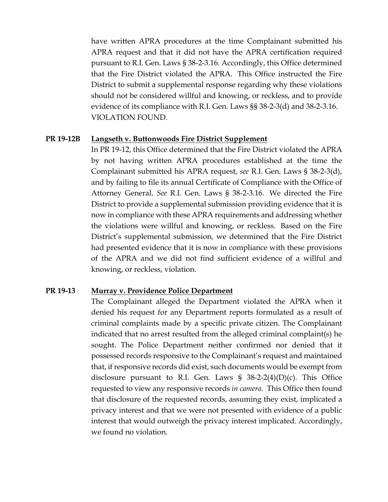have written APRA procedures at the time Complainant submitted his APRA request and that it did not have the APRA certification required pursuant to R.I. Gen. Laws § 38-2-3.16. Accordingly, this Office determined that the Fire District violated the APRA. This Office instructed the Fire District to submit a supplemental response regarding why these violations should not be considered willful and knowing, or reckless, and to provide evidence of its compliance with R.I. Gen. Laws §§ 38-2-3(d) and 38-2-3.16. VIOLATION FOUND.

#### **PR 19-12B Langseth v. Buttonwoods Fire District Supplement**

In PR 19-12, this Office determined that the Fire District violated the APRA by not having written APRA procedures established at the time the Complainant submitted his APRA request, *see* R.I. Gen. Laws § 38-2-3(d), and by failing to file its annual Certificate of Compliance with the Office of Attorney General. *See* R.I. Gen. Laws § 38-2-3.16. We directed the Fire District to provide a supplemental submission providing evidence that it is now in compliance with these APRA requirements and addressing whether the violations were willful and knowing, or reckless. Based on the Fire District's supplemental submission, we determined that the Fire District had presented evidence that it is now in compliance with these provisions of the APRA and we did not find sufficient evidence of a willful and knowing, or reckless, violation.

## **PR 19-13 Murray v. Providence Police Department**

The Complainant alleged the Department violated the APRA when it denied his request for any Department reports formulated as a result of criminal complaints made by a specific private citizen. The Complainant indicated that no arrest resulted from the alleged criminal complaint(s) he sought. The Police Department neither confirmed nor denied that it possessed records responsive to the Complainant's request and maintained that, if responsive records did exist, such documents would be exempt from disclosure pursuant to R.I. Gen. Laws  $\S$  38-2-2(4)(D)(c). This Office requested to view any responsive records *in camera*. This Office then found that disclosure of the requested records, assuming they exist, implicated a privacy interest and that we were not presented with evidence of a public interest that would outweigh the privacy interest implicated. Accordingly, we found no violation.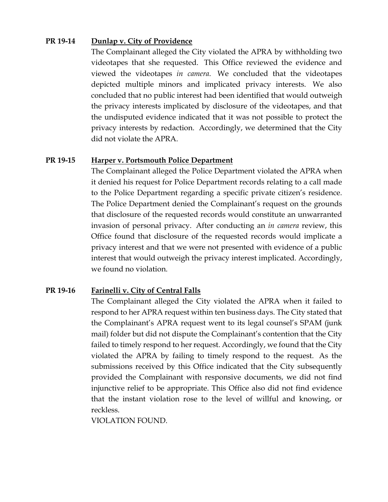## **PR 19-14 Dunlap v. City of Providence**

The Complainant alleged the City violated the APRA by withholding two videotapes that she requested. This Office reviewed the evidence and viewed the videotapes *in camera*. We concluded that the videotapes depicted multiple minors and implicated privacy interests. We also concluded that no public interest had been identified that would outweigh the privacy interests implicated by disclosure of the videotapes, and that the undisputed evidence indicated that it was not possible to protect the privacy interests by redaction. Accordingly, we determined that the City did not violate the APRA.

## **PR 19-15 Harper v. Portsmouth Police Department**

The Complainant alleged the Police Department violated the APRA when it denied his request for Police Department records relating to a call made to the Police Department regarding a specific private citizen's residence. The Police Department denied the Complainant's request on the grounds that disclosure of the requested records would constitute an unwarranted invasion of personal privacy. After conducting an *in camera* review, this Office found that disclosure of the requested records would implicate a privacy interest and that we were not presented with evidence of a public interest that would outweigh the privacy interest implicated. Accordingly, we found no violation.

## **PR 19-16 Farinelli v. City of Central Falls**

The Complainant alleged the City violated the APRA when it failed to respond to her APRA request within ten business days. The City stated that the Complainant's APRA request went to its legal counsel's SPAM (junk mail) folder but did not dispute the Complainant's contention that the City failed to timely respond to her request. Accordingly, we found that the City violated the APRA by failing to timely respond to the request. As the submissions received by this Office indicated that the City subsequently provided the Complainant with responsive documents, we did not find injunctive relief to be appropriate. This Office also did not find evidence that the instant violation rose to the level of willful and knowing, or reckless.

VIOLATION FOUND.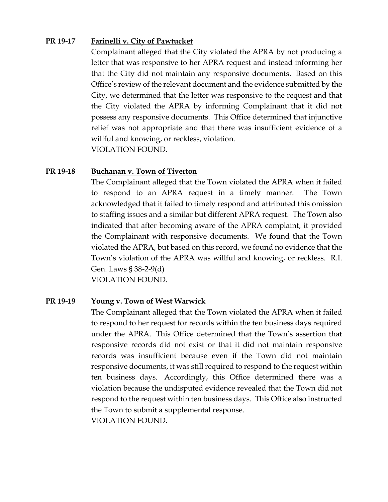## **PR 19-17 Farinelli v. City of Pawtucket**

Complainant alleged that the City violated the APRA by not producing a letter that was responsive to her APRA request and instead informing her that the City did not maintain any responsive documents. Based on this Office's review of the relevant document and the evidence submitted by the City, we determined that the letter was responsive to the request and that the City violated the APRA by informing Complainant that it did not possess any responsive documents. This Office determined that injunctive relief was not appropriate and that there was insufficient evidence of a willful and knowing, or reckless, violation. VIOLATION FOUND.

## **PR 19-18 Buchanan v. Town of Tiverton**

The Complainant alleged that the Town violated the APRA when it failed to respond to an APRA request in a timely manner. The Town acknowledged that it failed to timely respond and attributed this omission to staffing issues and a similar but different APRA request. The Town also indicated that after becoming aware of the APRA complaint, it provided the Complainant with responsive documents. We found that the Town violated the APRA, but based on this record, we found no evidence that the Town's violation of the APRA was willful and knowing, or reckless. R.I. Gen. Laws § 38-2-9(d)

VIOLATION FOUND.

## **PR 19-19 Young v. Town of West Warwick**

The Complainant alleged that the Town violated the APRA when it failed to respond to her request for records within the ten business days required under the APRA. This Office determined that the Town's assertion that responsive records did not exist or that it did not maintain responsive records was insufficient because even if the Town did not maintain responsive documents, it was still required to respond to the request within ten business days. Accordingly, this Office determined there was a violation because the undisputed evidence revealed that the Town did not respond to the request within ten business days. This Office also instructed the Town to submit a supplemental response. VIOLATION FOUND.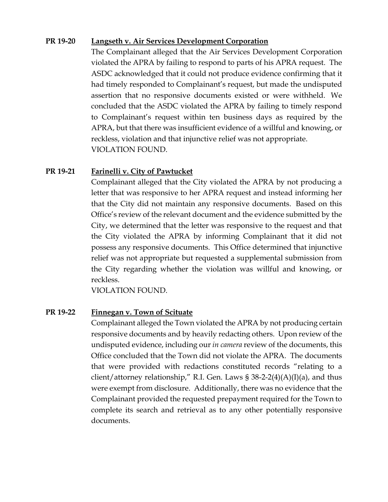## **PR 19-20 Langseth v. Air Services Development Corporation**

The Complainant alleged that the Air Services Development Corporation violated the APRA by failing to respond to parts of his APRA request. The ASDC acknowledged that it could not produce evidence confirming that it had timely responded to Complainant's request, but made the undisputed assertion that no responsive documents existed or were withheld. We concluded that the ASDC violated the APRA by failing to timely respond to Complainant's request within ten business days as required by the APRA, but that there was insufficient evidence of a willful and knowing, or reckless, violation and that injunctive relief was not appropriate. VIOLATION FOUND.

## **PR 19-21 Farinelli v. City of Pawtucket**

Complainant alleged that the City violated the APRA by not producing a letter that was responsive to her APRA request and instead informing her that the City did not maintain any responsive documents. Based on this Office's review of the relevant document and the evidence submitted by the City, we determined that the letter was responsive to the request and that the City violated the APRA by informing Complainant that it did not possess any responsive documents. This Office determined that injunctive relief was not appropriate but requested a supplemental submission from the City regarding whether the violation was willful and knowing, or reckless.

VIOLATION FOUND.

## **PR 19-22 Finnegan v. Town of Scituate**

Complainant alleged the Town violated the APRA by not producing certain responsive documents and by heavily redacting others. Upon review of the undisputed evidence, including our *in camera* review of the documents, this Office concluded that the Town did not violate the APRA. The documents that were provided with redactions constituted records "relating to a client/attorney relationship," R.I. Gen. Laws §  $38-2-2(4)(A)(I)(a)$ , and thus were exempt from disclosure. Additionally, there was no evidence that the Complainant provided the requested prepayment required for the Town to complete its search and retrieval as to any other potentially responsive documents.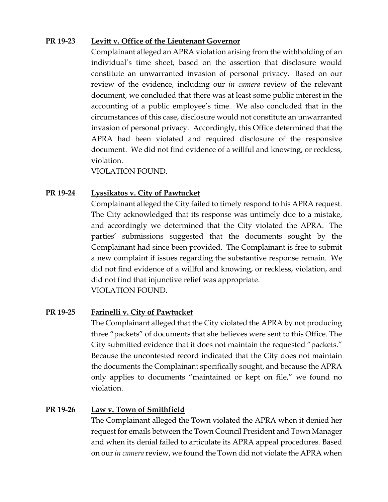## **PR 19-23 Levitt v. Office of the Lieutenant Governor**

Complainant alleged an APRA violation arising from the withholding of an individual's time sheet, based on the assertion that disclosure would constitute an unwarranted invasion of personal privacy. Based on our review of the evidence, including our *in camera* review of the relevant document, we concluded that there was at least some public interest in the accounting of a public employee's time. We also concluded that in the circumstances of this case, disclosure would not constitute an unwarranted invasion of personal privacy. Accordingly, this Office determined that the APRA had been violated and required disclosure of the responsive document. We did not find evidence of a willful and knowing, or reckless, violation.

VIOLATION FOUND.

## **PR 19-24 Lyssikatos v. City of Pawtucket**

Complainant alleged the City failed to timely respond to his APRA request. The City acknowledged that its response was untimely due to a mistake, and accordingly we determined that the City violated the APRA. The parties' submissions suggested that the documents sought by the Complainant had since been provided. The Complainant is free to submit a new complaint if issues regarding the substantive response remain. We did not find evidence of a willful and knowing, or reckless, violation, and did not find that injunctive relief was appropriate. VIOLATION FOUND.

## **PR 19-25 Farinelli v. City of Pawtucket**

The Complainant alleged that the City violated the APRA by not producing three "packets" of documents that she believes were sent to this Office. The City submitted evidence that it does not maintain the requested "packets." Because the uncontested record indicated that the City does not maintain the documents the Complainant specifically sought, and because the APRA only applies to documents "maintained or kept on file," we found no violation.

## **PR 19-26 Law v. Town of Smithfield**

The Complainant alleged the Town violated the APRA when it denied her request for emails between the Town Council President and Town Manager and when its denial failed to articulate its APRA appeal procedures. Based on our *in camera* review, we found the Town did not violate the APRA when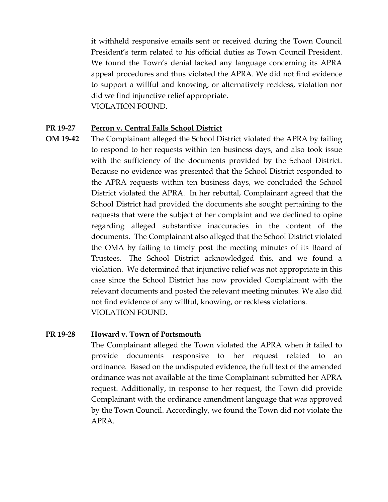it withheld responsive emails sent or received during the Town Council President's term related to his official duties as Town Council President. We found the Town's denial lacked any language concerning its APRA appeal procedures and thus violated the APRA. We did not find evidence to support a willful and knowing, or alternatively reckless, violation nor did we find injunctive relief appropriate. VIOLATION FOUND.

## **PR 19-27 Perron v. Central Falls School District**

**OM 19-42** The Complainant alleged the School District violated the APRA by failing to respond to her requests within ten business days, and also took issue with the sufficiency of the documents provided by the School District. Because no evidence was presented that the School District responded to the APRA requests within ten business days, we concluded the School District violated the APRA. In her rebuttal, Complainant agreed that the School District had provided the documents she sought pertaining to the requests that were the subject of her complaint and we declined to opine regarding alleged substantive inaccuracies in the content of the documents. The Complainant also alleged that the School District violated the OMA by failing to timely post the meeting minutes of its Board of Trustees. The School District acknowledged this, and we found a violation. We determined that injunctive relief was not appropriate in this case since the School District has now provided Complainant with the relevant documents and posted the relevant meeting minutes. We also did not find evidence of any willful, knowing, or reckless violations. VIOLATION FOUND.

## **PR 19-28 Howard v. Town of Portsmouth**

The Complainant alleged the Town violated the APRA when it failed to provide documents responsive to her request related to an ordinance. Based on the undisputed evidence, the full text of the amended ordinance was not available at the time Complainant submitted her APRA request. Additionally, in response to her request, the Town did provide Complainant with the ordinance amendment language that was approved by the Town Council. Accordingly, we found the Town did not violate the APRA.